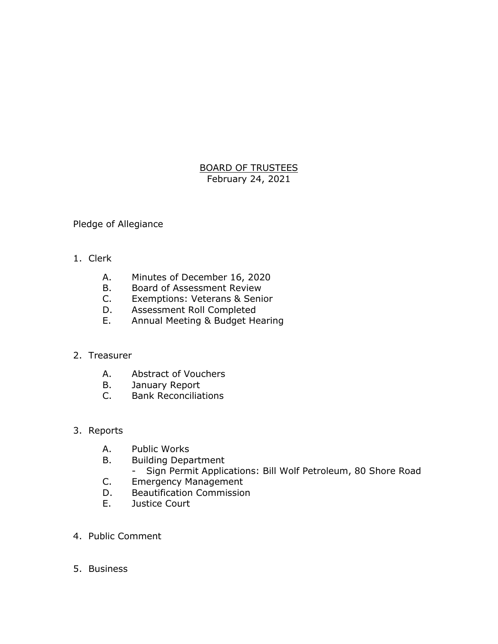## BOARD OF TRUSTEES February 24, 2021

Pledge of Allegiance

- 1. Clerk
	- A. Minutes of December 16, 2020
	-
	- B. Board of Assessment Review<br>C. Exemptions: Veterans & Seni Exemptions: Veterans & Senior
	- D. Assessment Roll Completed
	- E. Annual Meeting & Budget Hearing

## 2. Treasurer

- A. Abstract of Vouchers
- B. January Report<br>C. Bank Reconciliat
- **Bank Reconciliations**
- 3. Reports
	- A. Public Works
	- B. Building Department
		- Sign Permit Applications: Bill Wolf Petroleum, 80 Shore Road
	- C. Emergency Management
	- D. Beautification Commission
	- E. Justice Court
- 4. Public Comment
- 5. Business